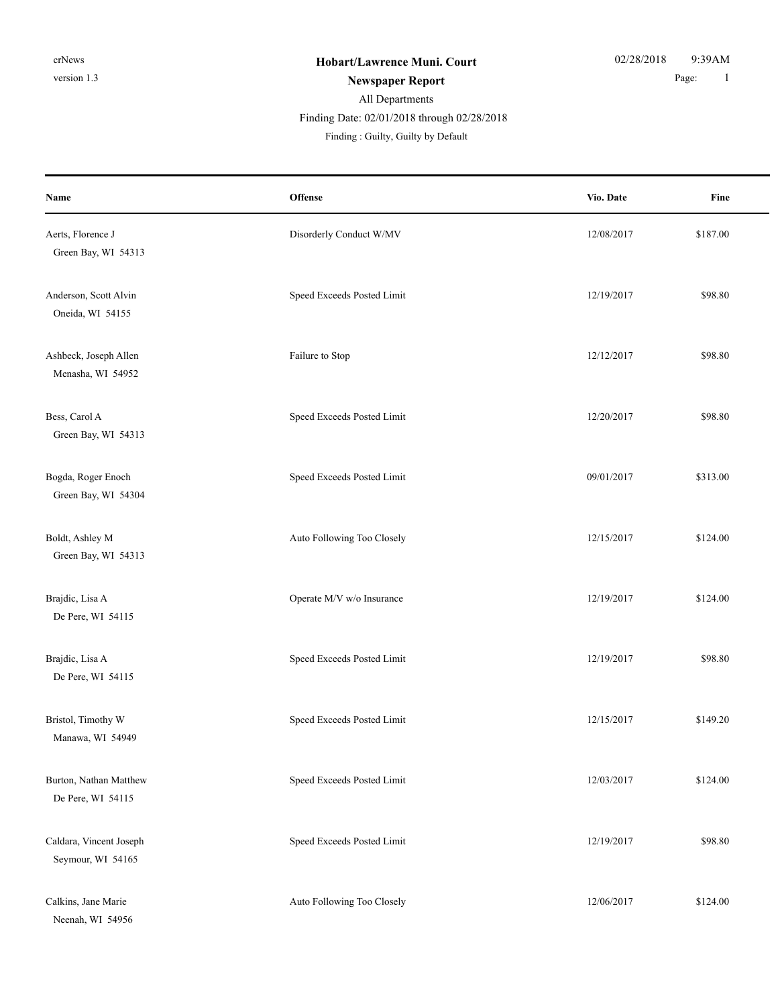Finding Date: 02/01/2018 through 02/28/2018

| Name                                         | Offense                    | Vio. Date  | Fine     |
|----------------------------------------------|----------------------------|------------|----------|
| Aerts, Florence J<br>Green Bay, WI 54313     | Disorderly Conduct W/MV    | 12/08/2017 | \$187.00 |
| Anderson, Scott Alvin<br>Oneida, WI 54155    | Speed Exceeds Posted Limit | 12/19/2017 | \$98.80  |
| Ashbeck, Joseph Allen<br>Menasha, WI 54952   | Failure to Stop            | 12/12/2017 | \$98.80  |
| Bess, Carol A<br>Green Bay, WI 54313         | Speed Exceeds Posted Limit | 12/20/2017 | \$98.80  |
| Bogda, Roger Enoch<br>Green Bay, WI 54304    | Speed Exceeds Posted Limit | 09/01/2017 | \$313.00 |
| Boldt, Ashley M<br>Green Bay, WI 54313       | Auto Following Too Closely | 12/15/2017 | \$124.00 |
| Brajdic, Lisa A<br>De Pere, WI 54115         | Operate M/V w/o Insurance  | 12/19/2017 | \$124.00 |
| Brajdic, Lisa A<br>De Pere, WI 54115         | Speed Exceeds Posted Limit | 12/19/2017 | \$98.80  |
| Bristol, Timothy W<br>Manawa, WI 54949       | Speed Exceeds Posted Limit | 12/15/2017 | \$149.20 |
| Burton, Nathan Matthew<br>De Pere, WI 54115  | Speed Exceeds Posted Limit | 12/03/2017 | \$124.00 |
| Caldara, Vincent Joseph<br>Seymour, WI 54165 | Speed Exceeds Posted Limit | 12/19/2017 | \$98.80  |
| Calkins, Jane Marie<br>Neenah, WI 54956      | Auto Following Too Closely | 12/06/2017 | \$124.00 |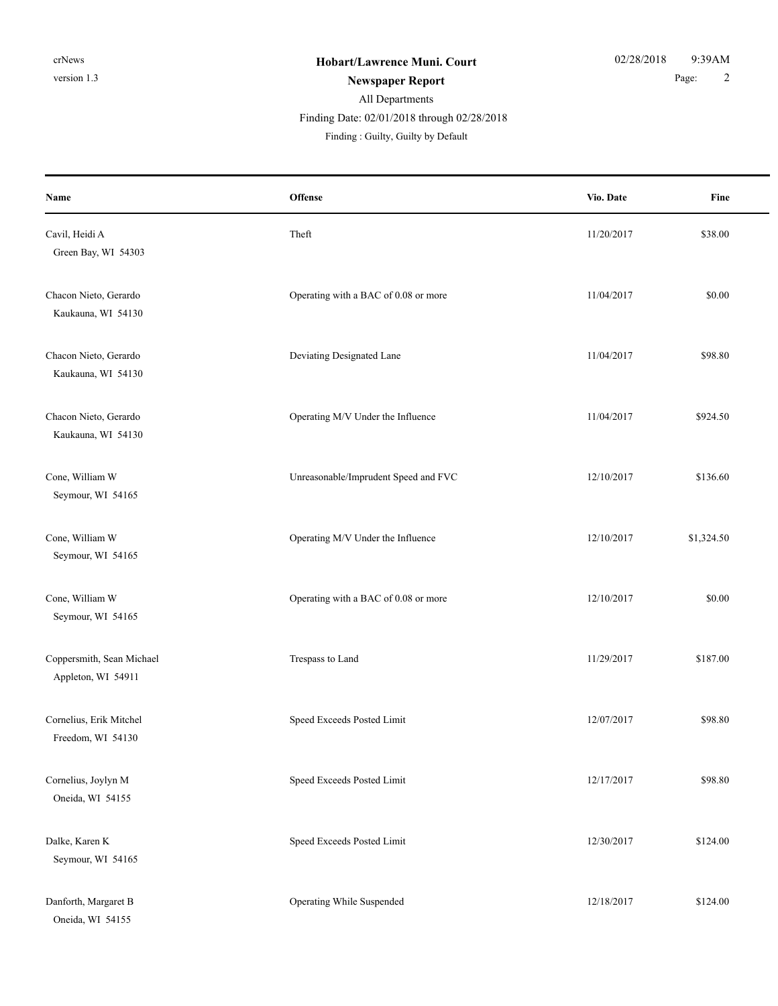### All Departments Finding : Guilty, Guilty by Default Finding Date: 02/01/2018 through 02/28/2018

**Offense** Fine **Name Vio. Date** Cavil, Heidi A Samuel A Solution of the Cavil, Heidi A Samuel A Samuel A Samuel A Samuel A Samuel A Samuel A Sa Green Bay, WI 54303 Chacon Nieto, Gerardo **Operating with a BAC** of 0.08 or more 11/04/2017 \$0.00 Kaukauna, WI 54130 Chacon Nieto, Gerardo **Deviating Designated Lane** 11/04/2017 \$98.80 Kaukauna, WI 54130 Chacon Nieto, Gerardo Chacon Operating M/V Under the Influence 11/04/2017 \$924.50 Kaukauna, WI 54130 Cone, William W Unreasonable/Imprudent Speed and FVC 12/10/2017 \$136.60 Seymour, WI 54165 Cone, William W Operating M/V Under the Influence 12/10/2017 \$1,324.50 Seymour, WI 54165 Cone, William W Cone and Cone and Cone and Cone and Cone and Cone and Cone and Cone and Cone and Cone and Cone and Cone and Cone and Cone and Cone and Cone and Cone and Cone and Cone and Cone and Cone and Cone and Cone and Seymour, WI 54165 Coppersmith, Sean Michael Trespass to Land 11/29/2017 \$187.00 Appleton, WI 54911 Cornelius, Erik Mitchel Speed Exceeds Posted Limit 12/07/2017 \$98.80 Freedom, WI 54130 Cornelius, Joylyn M Speed Exceeds Posted Limit 12/17/2017 \$98.80 Oneida, WI 54155 Dalke, Karen K Speed Exceeds Posted Limit 12/30/2017 \$124.00 Seymour, WI 54165 Danforth, Margaret B Operating While Suspended 12/18/2017 \$124.00 Oneida, WI 54155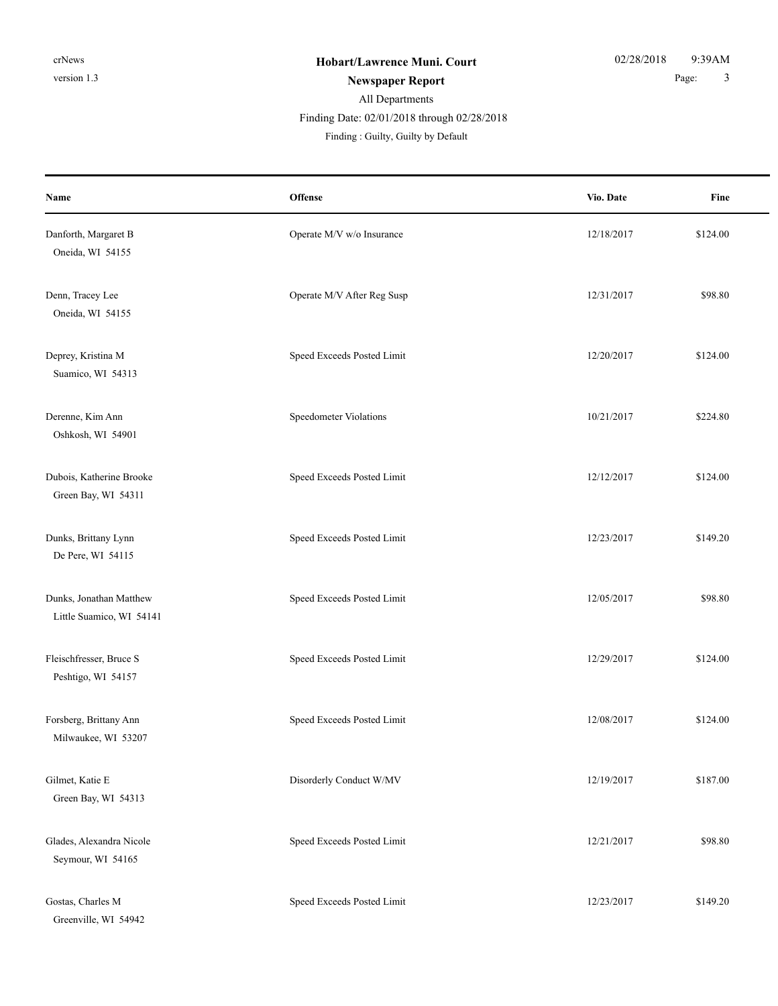### Finding Date: 02/01/2018 through 02/28/2018

| Name                                                | Offense                    | Vio. Date  | Fine     |
|-----------------------------------------------------|----------------------------|------------|----------|
| Danforth, Margaret B<br>Oneida, WI 54155            | Operate M/V w/o Insurance  | 12/18/2017 | \$124.00 |
| Denn, Tracey Lee<br>Oneida, WI 54155                | Operate M/V After Reg Susp | 12/31/2017 | \$98.80  |
| Deprey, Kristina M<br>Suamico, WI 54313             | Speed Exceeds Posted Limit | 12/20/2017 | \$124.00 |
| Derenne, Kim Ann<br>Oshkosh, WI 54901               | Speedometer Violations     | 10/21/2017 | \$224.80 |
| Dubois, Katherine Brooke<br>Green Bay, WI 54311     | Speed Exceeds Posted Limit | 12/12/2017 | \$124.00 |
| Dunks, Brittany Lynn<br>De Pere, WI 54115           | Speed Exceeds Posted Limit | 12/23/2017 | \$149.20 |
| Dunks, Jonathan Matthew<br>Little Suamico, WI 54141 | Speed Exceeds Posted Limit | 12/05/2017 | \$98.80  |
| Fleischfresser, Bruce S<br>Peshtigo, WI 54157       | Speed Exceeds Posted Limit | 12/29/2017 | \$124.00 |
| Forsberg, Brittany Ann<br>Milwaukee, WI 53207       | Speed Exceeds Posted Limit | 12/08/2017 | \$124.00 |
| Gilmet, Katie E<br>Green Bay, WI 54313              | Disorderly Conduct W/MV    | 12/19/2017 | \$187.00 |
| Glades, Alexandra Nicole<br>Seymour, WI 54165       | Speed Exceeds Posted Limit | 12/21/2017 | \$98.80  |
| Gostas, Charles M<br>Greenville, WI 54942           | Speed Exceeds Posted Limit | 12/23/2017 | \$149.20 |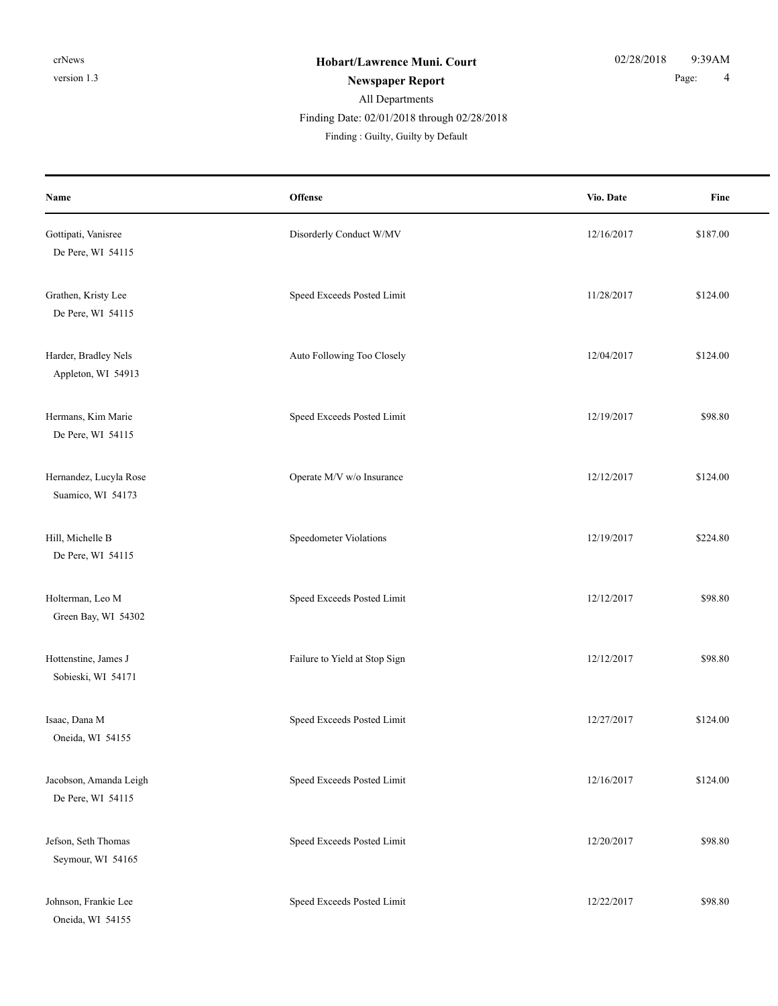#### Finding Date: 02/01/2018 through 02/28/2018

| Name                                        | Offense                       | Vio. Date  | Fine     |
|---------------------------------------------|-------------------------------|------------|----------|
| Gottipati, Vanisree<br>De Pere, WI 54115    | Disorderly Conduct W/MV       | 12/16/2017 | \$187.00 |
| Grathen, Kristy Lee<br>De Pere, WI 54115    | Speed Exceeds Posted Limit    | 11/28/2017 | \$124.00 |
| Harder, Bradley Nels<br>Appleton, WI 54913  | Auto Following Too Closely    | 12/04/2017 | \$124.00 |
| Hermans, Kim Marie<br>De Pere, WI 54115     | Speed Exceeds Posted Limit    | 12/19/2017 | \$98.80  |
| Hernandez, Lucyla Rose<br>Suamico, WI 54173 | Operate M/V w/o Insurance     | 12/12/2017 | \$124.00 |
| Hill, Michelle B<br>De Pere, WI 54115       | Speedometer Violations        | 12/19/2017 | \$224.80 |
| Holterman, Leo M<br>Green Bay, WI 54302     | Speed Exceeds Posted Limit    | 12/12/2017 | \$98.80  |
| Hottenstine, James J<br>Sobieski, WI 54171  | Failure to Yield at Stop Sign | 12/12/2017 | \$98.80  |
| Isaac, Dana M<br>Oneida, WI 54155           | Speed Exceeds Posted Limit    | 12/27/2017 | \$124.00 |
| Jacobson, Amanda Leigh<br>De Pere, WI 54115 | Speed Exceeds Posted Limit    | 12/16/2017 | \$124.00 |
| Jefson, Seth Thomas<br>Seymour, WI 54165    | Speed Exceeds Posted Limit    | 12/20/2017 | \$98.80  |
| Johnson, Frankie Lee<br>Oneida, WI 54155    | Speed Exceeds Posted Limit    | 12/22/2017 | \$98.80  |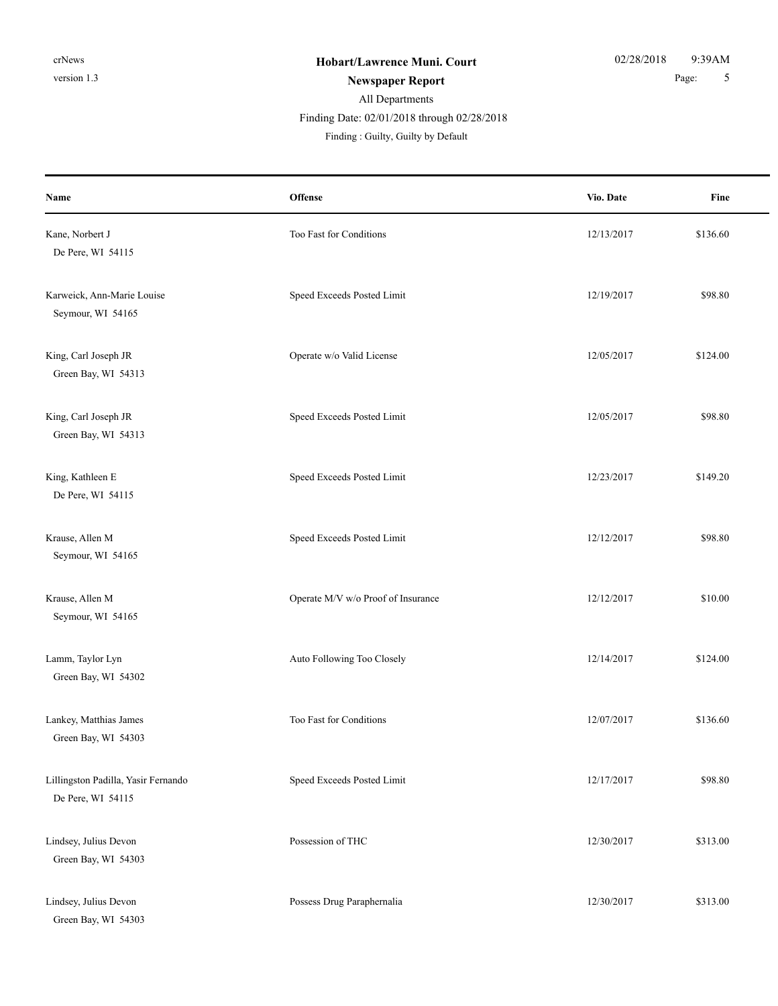Finding Date: 02/01/2018 through 02/28/2018

| Name                                                     | <b>Offense</b>                     | Vio. Date  | Fine     |
|----------------------------------------------------------|------------------------------------|------------|----------|
| Kane, Norbert J<br>De Pere, WI 54115                     | Too Fast for Conditions            | 12/13/2017 | \$136.60 |
| Karweick, Ann-Marie Louise<br>Seymour, WI 54165          | Speed Exceeds Posted Limit         | 12/19/2017 | \$98.80  |
| King, Carl Joseph JR<br>Green Bay, WI 54313              | Operate w/o Valid License          | 12/05/2017 | \$124.00 |
| King, Carl Joseph JR<br>Green Bay, WI 54313              | Speed Exceeds Posted Limit         | 12/05/2017 | \$98.80  |
| King, Kathleen E<br>De Pere, WI 54115                    | Speed Exceeds Posted Limit         | 12/23/2017 | \$149.20 |
| Krause, Allen M<br>Seymour, WI 54165                     | Speed Exceeds Posted Limit         | 12/12/2017 | \$98.80  |
| Krause, Allen M<br>Seymour, WI 54165                     | Operate M/V w/o Proof of Insurance | 12/12/2017 | \$10.00  |
| Lamm, Taylor Lyn<br>Green Bay, WI 54302                  | Auto Following Too Closely         | 12/14/2017 | \$124.00 |
| Lankey, Matthias James<br>Green Bay, WI 54303            | Too Fast for Conditions            | 12/07/2017 | \$136.60 |
| Lillingston Padilla, Yasir Fernando<br>De Pere, WI 54115 | Speed Exceeds Posted Limit         | 12/17/2017 | \$98.80  |
| Lindsey, Julius Devon<br>Green Bay, WI 54303             | Possession of THC                  | 12/30/2017 | \$313.00 |
| Lindsey, Julius Devon<br>Green Bay, WI 54303             | Possess Drug Paraphernalia         | 12/30/2017 | \$313.00 |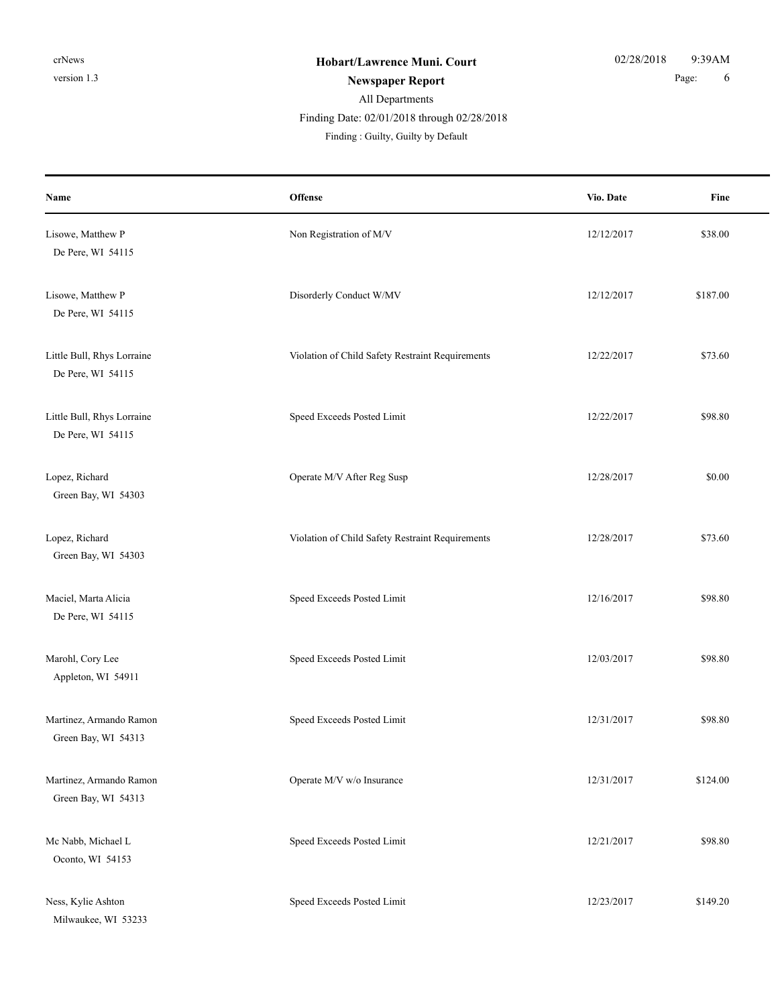Finding Date: 02/01/2018 through 02/28/2018

| Name                                            | Offense                                          | Vio. Date  | Fine     |
|-------------------------------------------------|--------------------------------------------------|------------|----------|
| Lisowe, Matthew P<br>De Pere, WI 54115          | Non Registration of M/V                          | 12/12/2017 | \$38.00  |
| Lisowe, Matthew P<br>De Pere, WI 54115          | Disorderly Conduct W/MV                          | 12/12/2017 | \$187.00 |
| Little Bull, Rhys Lorraine<br>De Pere, WI 54115 | Violation of Child Safety Restraint Requirements | 12/22/2017 | \$73.60  |
| Little Bull, Rhys Lorraine<br>De Pere, WI 54115 | Speed Exceeds Posted Limit                       | 12/22/2017 | \$98.80  |
| Lopez, Richard<br>Green Bay, WI 54303           | Operate M/V After Reg Susp                       | 12/28/2017 | \$0.00   |
| Lopez, Richard<br>Green Bay, WI 54303           | Violation of Child Safety Restraint Requirements | 12/28/2017 | \$73.60  |
| Maciel, Marta Alicia<br>De Pere, WI 54115       | Speed Exceeds Posted Limit                       | 12/16/2017 | \$98.80  |
| Marohl, Cory Lee<br>Appleton, WI 54911          | Speed Exceeds Posted Limit                       | 12/03/2017 | \$98.80  |
| Martinez, Armando Ramon<br>Green Bay, WI 54313  | Speed Exceeds Posted Limit                       | 12/31/2017 | \$98.80  |
| Martinez, Armando Ramon<br>Green Bay, WI 54313  | Operate M/V w/o Insurance                        | 12/31/2017 | \$124.00 |
| Mc Nabb, Michael L<br>Oconto, WI 54153          | Speed Exceeds Posted Limit                       | 12/21/2017 | \$98.80  |
| Ness, Kylie Ashton<br>Milwaukee, WI 53233       | Speed Exceeds Posted Limit                       | 12/23/2017 | \$149.20 |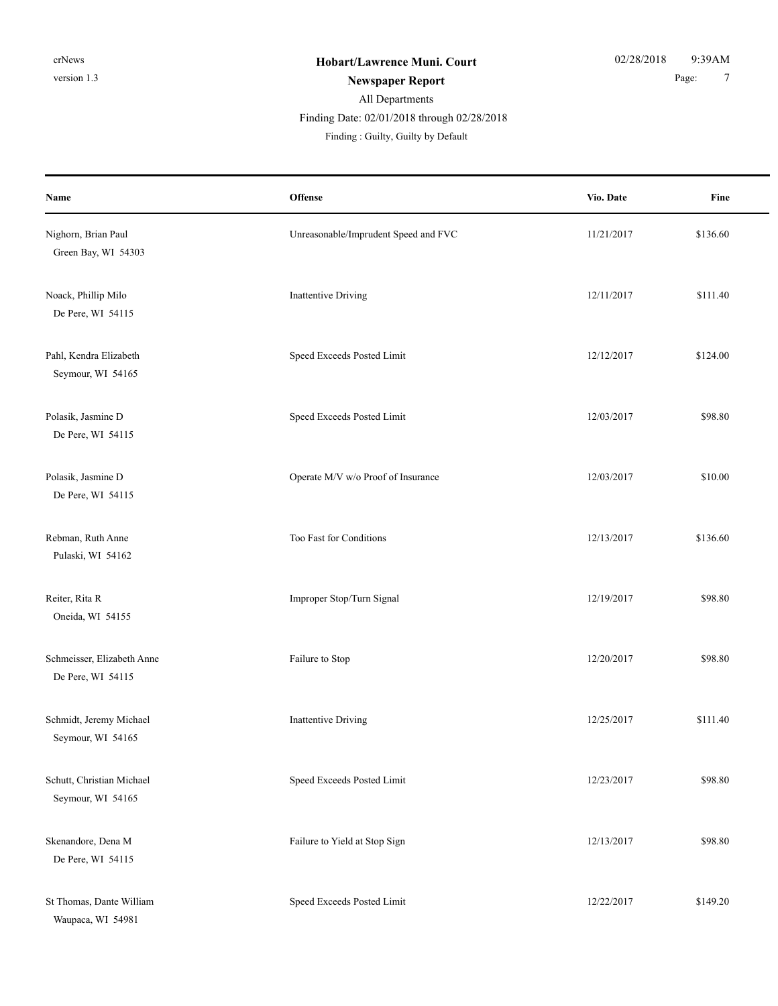## All Departments Finding : Guilty, Guilty by Default Finding Date: 02/01/2018 through 02/28/2018

| Name                                            | Offense                              | Vio. Date  | Fine     |
|-------------------------------------------------|--------------------------------------|------------|----------|
| Nighorn, Brian Paul<br>Green Bay, WI 54303      | Unreasonable/Imprudent Speed and FVC | 11/21/2017 | \$136.60 |
| Noack, Phillip Milo<br>De Pere, WI 54115        | <b>Inattentive Driving</b>           | 12/11/2017 | \$111.40 |
| Pahl, Kendra Elizabeth<br>Seymour, WI 54165     | Speed Exceeds Posted Limit           | 12/12/2017 | \$124.00 |
| Polasik, Jasmine D<br>De Pere, WI 54115         | Speed Exceeds Posted Limit           | 12/03/2017 | \$98.80  |
| Polasik, Jasmine D<br>De Pere, WI 54115         | Operate M/V w/o Proof of Insurance   | 12/03/2017 | \$10.00  |
| Rebman, Ruth Anne<br>Pulaski, WI 54162          | Too Fast for Conditions              | 12/13/2017 | \$136.60 |
| Reiter, Rita R<br>Oneida, WI 54155              | Improper Stop/Turn Signal            | 12/19/2017 | \$98.80  |
| Schmeisser, Elizabeth Anne<br>De Pere, WI 54115 | Failure to Stop                      | 12/20/2017 | \$98.80  |
| Schmidt, Jeremy Michael<br>Seymour, WI 54165    | <b>Inattentive Driving</b>           | 12/25/2017 | \$111.40 |
| Schutt, Christian Michael<br>Seymour, WI 54165  | Speed Exceeds Posted Limit           | 12/23/2017 | \$98.80  |
| Skenandore, Dena M<br>De Pere, WI 54115         | Failure to Yield at Stop Sign        | 12/13/2017 | \$98.80  |
| St Thomas, Dante William<br>Waupaca, WI 54981   | Speed Exceeds Posted Limit           | 12/22/2017 | \$149.20 |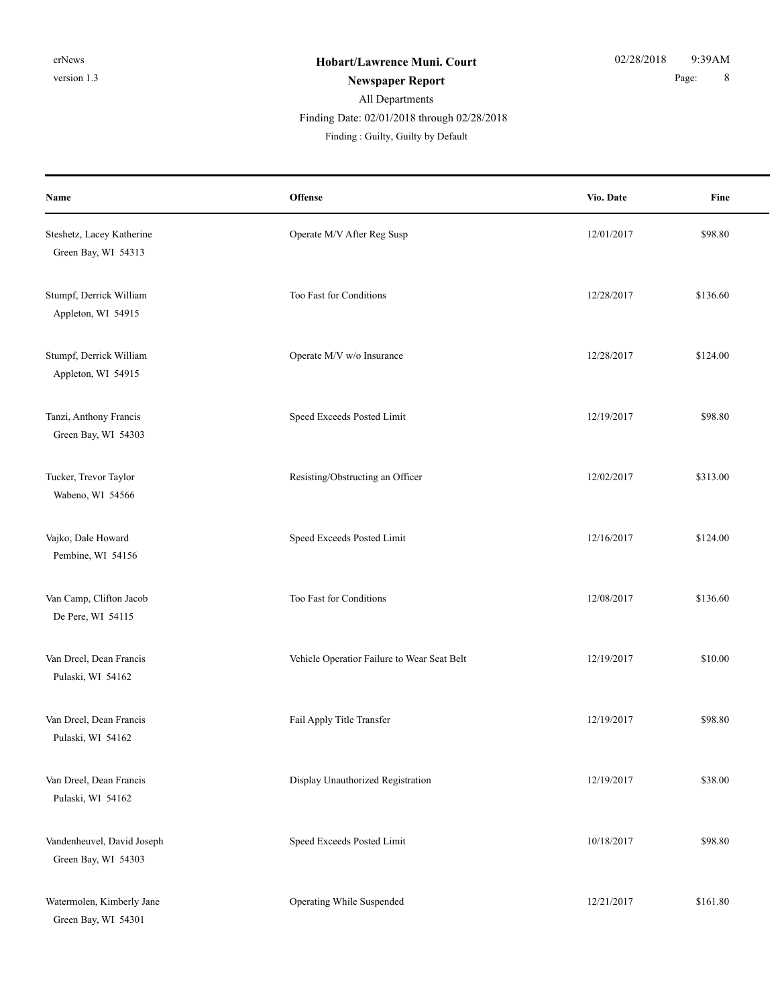### All Departments Finding Date: 02/01/2018 through 02/28/2018

| Name                                              | <b>Offense</b>                              | Vio. Date  | Fine     |
|---------------------------------------------------|---------------------------------------------|------------|----------|
| Steshetz, Lacey Katherine<br>Green Bay, WI 54313  | Operate M/V After Reg Susp                  | 12/01/2017 | \$98.80  |
| Stumpf, Derrick William<br>Appleton, WI 54915     | Too Fast for Conditions                     | 12/28/2017 | \$136.60 |
| Stumpf, Derrick William<br>Appleton, WI 54915     | Operate M/V w/o Insurance                   | 12/28/2017 | \$124.00 |
| Tanzi, Anthony Francis<br>Green Bay, WI 54303     | Speed Exceeds Posted Limit                  | 12/19/2017 | \$98.80  |
| Tucker, Trevor Taylor<br>Wabeno, WI 54566         | Resisting/Obstructing an Officer            | 12/02/2017 | \$313.00 |
| Vajko, Dale Howard<br>Pembine, WI 54156           | Speed Exceeds Posted Limit                  | 12/16/2017 | \$124.00 |
| Van Camp, Clifton Jacob<br>De Pere, WI 54115      | Too Fast for Conditions                     | 12/08/2017 | \$136.60 |
| Van Dreel, Dean Francis<br>Pulaski, WI 54162      | Vehicle Operatior Failure to Wear Seat Belt | 12/19/2017 | \$10.00  |
| Van Dreel, Dean Francis<br>Pulaski, WI 54162      | Fail Apply Title Transfer                   | 12/19/2017 | \$98.80  |
| Van Dreel, Dean Francis<br>Pulaski, WI 54162      | Display Unauthorized Registration           | 12/19/2017 | \$38.00  |
| Vandenheuvel, David Joseph<br>Green Bay, WI 54303 | Speed Exceeds Posted Limit                  | 10/18/2017 | \$98.80  |
| Watermolen, Kimberly Jane<br>Green Bay, WI 54301  | Operating While Suspended                   | 12/21/2017 | \$161.80 |